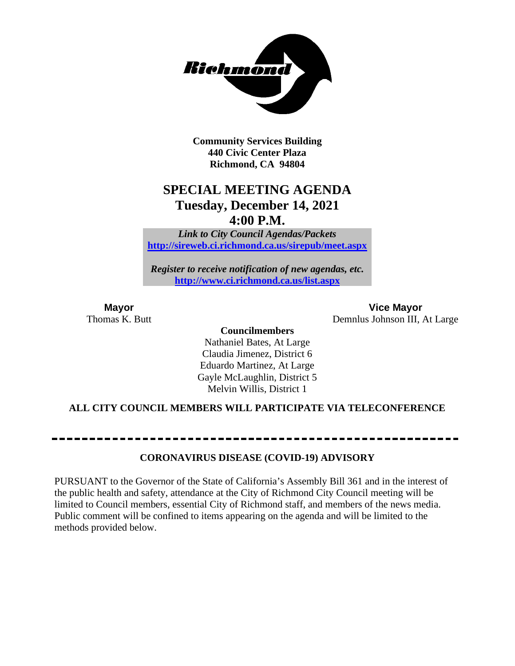

**Community Services Building 440 Civic Center Plaza Richmond, CA 94804**

# **SPECIAL MEETING AGENDA Tuesday, December 14, 2021 4:00 P.M.**

*Link to City Council Agendas/Packets* **<http://sireweb.ci.richmond.ca.us/sirepub/meet.aspx>**

*Register to receive notification of new agendas, etc.* **<http://www.ci.richmond.ca.us/list.aspx>**

**Mayor Vice Mayor**<br>Thomas K. Butt **Conserverse Conserverse Conserverse Conserverse Conserverse Conserverse Conserverse Conserverse Conserverse Conserverse Conserverse Conserverse Conserverse Conserverse Conserverse Conse** Demnlus Johnson III, At Large

#### **Councilmembers**

Nathaniel Bates, At Large Claudia Jimenez, District 6 Eduardo Martinez, At Large Gayle McLaughlin, District 5 Melvin Willis, District 1

#### **ALL CITY COUNCIL MEMBERS WILL PARTICIPATE VIA TELECONFERENCE**

**CORONAVIRUS DISEASE (COVID-19) ADVISORY**

PURSUANT to the Governor of the State of California's Assembly Bill 361 and in the interest of the public health and safety, attendance at the City of Richmond City Council meeting will be limited to Council members, essential City of Richmond staff, and members of the news media. Public comment will be confined to items appearing on the agenda and will be limited to the methods provided below.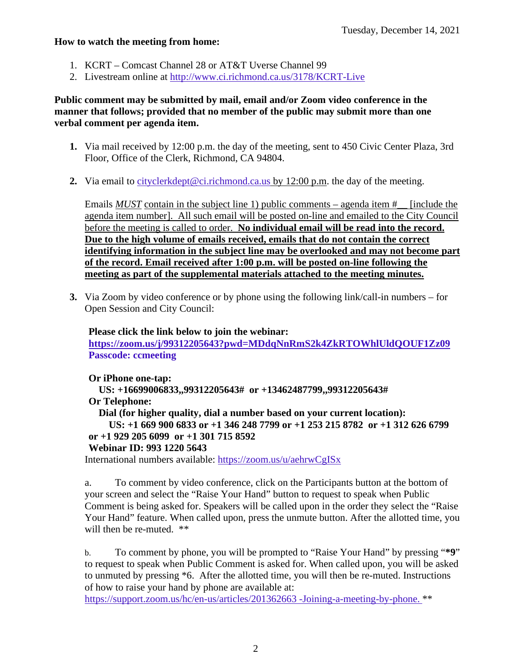#### **How to watch the meeting from home:**

- 1. KCRT Comcast Channel 28 or AT&T Uverse Channel 99
- 2. Livestream online at<http://www.ci.richmond.ca.us/3178/KCRT-Live>

#### **Public comment may be submitted by mail, email and/or Zoom video conference in the manner that follows; provided that no member of the public may submit more than one verbal comment per agenda item.**

- **1.** Via mail received by 12:00 p.m. the day of the meeting, sent to 450 Civic Center Plaza, 3rd Floor, Office of the Clerk, Richmond, CA 94804.
- **2.** Via email to [cityclerkdept@ci.richmond.ca.us](mailto:cityclerkdept@ci.richmond.ca.us) by 12:00 p.m. the day of the meeting.

Emails *MUST* contain in the subject line 1) public comments – agenda item # [include the agenda item number]. All such email will be posted on-line and emailed to the City Council before the meeting is called to order. **No individual email will be read into the record. Due to the high volume of emails received, emails that do not contain the correct identifying information in the subject line may be overlooked and may not become part of the record. Email received after 1:00 p.m. will be posted on-line following the meeting as part of the supplemental materials attached to the meeting minutes.**

**3.** Via Zoom by video conference or by phone using the following link/call-in numbers – for Open Session and City Council:

**Please click the link below to join the webinar: <https://zoom.us/j/99312205643?pwd=MDdqNnRmS2k4ZkRTOWhlUldQOUF1Zz09> Passcode: ccmeeting**

**Or iPhone one-tap:**

**US: +16699006833,,99312205643# or +13462487799,,99312205643# Or Telephone:**

**Dial (for higher quality, dial a number based on your current location):**

**US: +1 669 900 6833 or +1 346 248 7799 or +1 253 215 8782 or +1 312 626 6799 or +1 929 205 6099 or +1 301 715 8592**

#### **Webinar ID: 993 1220 5643**

International numbers available: <https://zoom.us/u/aehrwCgISx>

a. To comment by video conference, click on the Participants button at the bottom of your screen and select the "Raise Your Hand" button to request to speak when Public Comment is being asked for. Speakers will be called upon in the order they select the "Raise Your Hand" feature. When called upon, press the unmute button. After the allotted time, you will then be re-muted. \*\*

b. To comment by phone, you will be prompted to "Raise Your Hand" by pressing "**\*9**" to request to speak when Public Comment is asked for. When called upon, you will be asked to unmuted by pressing \*6. After the allotted time, you will then be re-muted. Instructions of how to raise your hand by phone are available at:

[https://support.zoom.us/hc/en-us/articles/201362663 -Joining-a-meeting-by-phone.](https://support.zoom.us/hc/en-us/articles/201362663) \*\*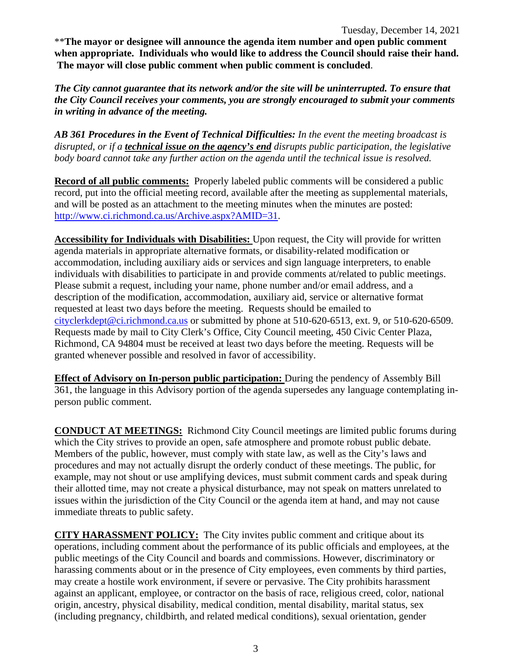\*\***The mayor or designee will announce the agenda item number and open public comment when appropriate. Individuals who would like to address the Council should raise their hand. The mayor will close public comment when public comment is concluded**.

*The City cannot guarantee that its network and/or the site will be uninterrupted. To ensure that the City Council receives your comments, you are strongly encouraged to submit your comments in writing in advance of the meeting.* 

*AB 361 Procedures in the Event of Technical Difficulties: In the event the meeting broadcast is disrupted, or if a technical issue on the agency's end disrupts public participation, the legislative body board cannot take any further action on the agenda until the technical issue is resolved.*

**Record of all public comments:** Properly labeled public comments will be considered a public record, put into the official meeting record, available after the meeting as supplemental materials, and will be posted as an attachment to the meeting minutes when the minutes are posted: [http://www.ci.richmond.ca.us/Archive.aspx?AMID=31.](http://www.ci.richmond.ca.us/Archive.aspx?AMID=31)

**Accessibility for Individuals with Disabilities:** Upon request, the City will provide for written agenda materials in appropriate alternative formats, or disability-related modification or accommodation, including auxiliary aids or services and sign language interpreters, to enable individuals with disabilities to participate in and provide comments at/related to public meetings. Please submit a request, including your name, phone number and/or email address, and a description of the modification, accommodation, auxiliary aid, service or alternative format requested at least two days before the meeting. Requests should be emailed to [cityclerkdept@ci.richmond.ca.us](mailto:cityclerkdept@ci.richmond.ca.us) or submitted by phone at 510-620-6513, ext. 9, or 510-620-6509. Requests made by mail to City Clerk's Office, City Council meeting, 450 Civic Center Plaza, Richmond, CA 94804 must be received at least two days before the meeting. Requests will be granted whenever possible and resolved in favor of accessibility.

**Effect of Advisory on In-person public participation:** During the pendency of Assembly Bill 361, the language in this Advisory portion of the agenda supersedes any language contemplating inperson public comment.

**CONDUCT AT MEETINGS:** Richmond City Council meetings are limited public forums during which the City strives to provide an open, safe atmosphere and promote robust public debate. Members of the public, however, must comply with state law, as well as the City's laws and procedures and may not actually disrupt the orderly conduct of these meetings. The public, for example, may not shout or use amplifying devices, must submit comment cards and speak during their allotted time, may not create a physical disturbance, may not speak on matters unrelated to issues within the jurisdiction of the City Council or the agenda item at hand, and may not cause immediate threats to public safety.

**CITY HARASSMENT POLICY:** The City invites public comment and critique about its operations, including comment about the performance of its public officials and employees, at the public meetings of the City Council and boards and commissions. However, discriminatory or harassing comments about or in the presence of City employees, even comments by third parties, may create a hostile work environment, if severe or pervasive. The City prohibits harassment against an applicant, employee, or contractor on the basis of race, religious creed, color, national origin, ancestry, physical disability, medical condition, mental disability, marital status, sex (including pregnancy, childbirth, and related medical conditions), sexual orientation, gender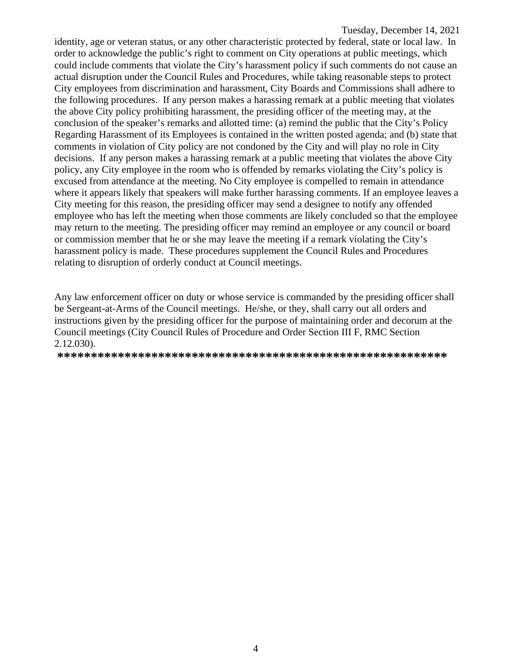identity, age or veteran status, or any other characteristic protected by federal, state or local law. In order to acknowledge the public's right to comment on City operations at public meetings, which could include comments that violate the City's harassment policy if such comments do not cause an actual disruption under the Council Rules and Procedures, while taking reasonable steps to protect City employees from discrimination and harassment, City Boards and Commissions shall adhere to the following procedures. If any person makes a harassing remark at a public meeting that violates the above City policy prohibiting harassment, the presiding officer of the meeting may, at the conclusion of the speaker's remarks and allotted time: (a) remind the public that the City's Policy Regarding Harassment of its Employees is contained in the written posted agenda; and (b) state that comments in violation of City policy are not condoned by the City and will play no role in City decisions. If any person makes a harassing remark at a public meeting that violates the above City policy, any City employee in the room who is offended by remarks violating the City's policy is excused from attendance at the meeting. No City employee is compelled to remain in attendance where it appears likely that speakers will make further harassing comments. If an employee leaves a City meeting for this reason, the presiding officer may send a designee to notify any offended employee who has left the meeting when those comments are likely concluded so that the employee may return to the meeting. The presiding officer may remind an employee or any council or board or commission member that he or she may leave the meeting if a remark violating the City's harassment policy is made. These procedures supplement the Council Rules and Procedures relating to disruption of orderly conduct at Council meetings.

Any law enforcement officer on duty or whose service is commanded by the presiding officer shall be Sergeant-at-Arms of the Council meetings. He/she, or they, shall carry out all orders and instructions given by the presiding officer for the purpose of maintaining order and decorum at the Council meetings (City Council Rules of Procedure and Order Section III F, RMC Section 2.12.030).

**\*\*\*\*\*\*\*\*\*\*\*\*\*\*\*\*\*\*\*\*\*\*\*\*\*\*\*\*\*\*\*\*\*\*\*\*\*\*\*\*\*\*\*\*\*\*\*\*\*\*\*\*\*\*\*\*\*\***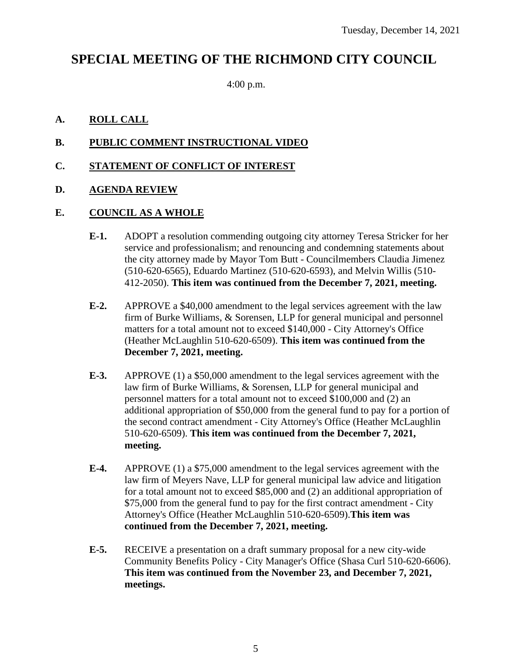# **SPECIAL MEETING OF THE RICHMOND CITY COUNCIL**

4:00 p.m.

## **A. ROLL CALL**

## **B. PUBLIC COMMENT INSTRUCTIONAL VIDEO**

## **C. STATEMENT OF CONFLICT OF INTEREST**

### **D. AGENDA REVIEW**

#### **E. COUNCIL AS A WHOLE**

- **E-1.** ADOPT a resolution commending outgoing city attorney Teresa Stricker for her service and professionalism; and renouncing and condemning statements about the city attorney made by Mayor Tom Butt - Councilmembers Claudia Jimenez (510-620-6565), Eduardo Martinez (510-620-6593), and Melvin Willis (510- 412-2050). **This item was continued from the December 7, 2021, meeting.**
- **E-2.** APPROVE a \$40,000 amendment to the legal services agreement with the law firm of Burke Williams, & Sorensen, LLP for general municipal and personnel matters for a total amount not to exceed \$140,000 - City Attorney's Office (Heather McLaughlin 510-620-6509). **This item was continued from the December 7, 2021, meeting.**
- **E-3.** APPROVE (1) a \$50,000 amendment to the legal services agreement with the law firm of Burke Williams, & Sorensen, LLP for general municipal and personnel matters for a total amount not to exceed \$100,000 and (2) an additional appropriation of \$50,000 from the general fund to pay for a portion of the second contract amendment - City Attorney's Office (Heather McLaughlin 510-620-6509). **This item was continued from the December 7, 2021, meeting.**
- **E-4.** APPROVE (1) a \$75,000 amendment to the legal services agreement with the law firm of Meyers Nave, LLP for general municipal law advice and litigation for a total amount not to exceed \$85,000 and (2) an additional appropriation of \$75,000 from the general fund to pay for the first contract amendment - City Attorney's Office (Heather McLaughlin 510-620-6509).**This item was continued from the December 7, 2021, meeting.**
- **E-5.** RECEIVE a presentation on a draft summary proposal for a new city-wide Community Benefits Policy - City Manager's Office (Shasa Curl 510-620-6606). **This item was continued from the November 23, and December 7, 2021, meetings.**